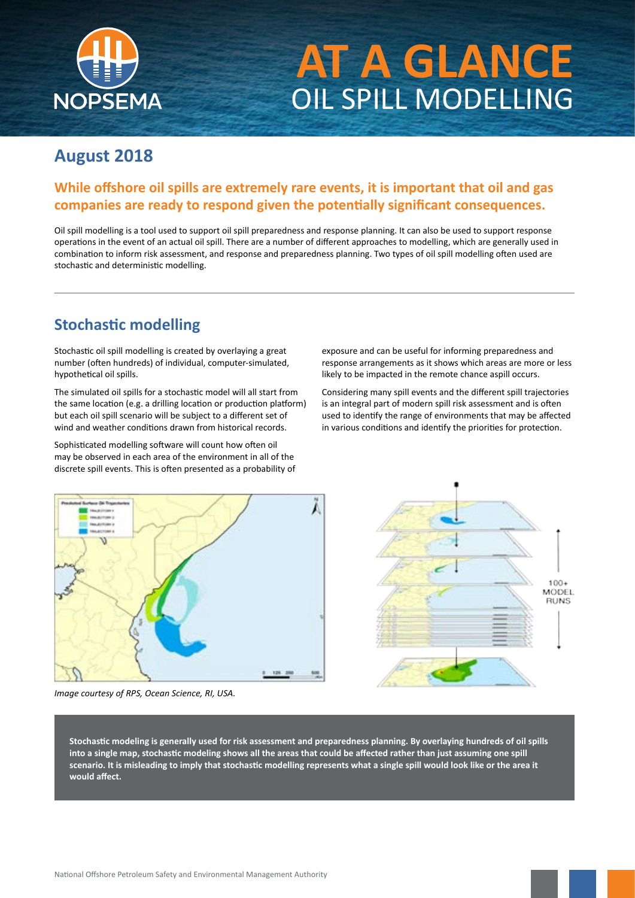

# **AT A GLANCE** OIL SPILL MODELLING

#### **August 2018**

#### **While offshore oil spills are extremely rare events, it is important that oil and gas companies are ready to respond given the potentially significant consequences.**

Oil spill modelling is a tool used to support oil spill preparedness and response planning. It can also be used to support response operations in the event of an actual oil spill. There are a number of different approaches to modelling, which are generally used in combination to inform risk assessment, and response and preparedness planning. Two types of oil spill modelling often used are stochastic and deterministic modelling.

#### **Stochastic modelling**

Stochastic oil spill modelling is created by overlaying a great number (often hundreds) of individual, computer-simulated, hypothetical oil spills.

The simulated oil spills for a stochastic model will all start from the same location (e.g. a drilling location or production platform) but each oil spill scenario will be subject to a different set of wind and weather conditions drawn from historical records.

Sophisticated modelling software will count how often oil may be observed in each area of the environment in all of the discrete spill events. This is often presented as a probability of exposure and can be useful for informing preparedness and response arrangements as it shows which areas are more or less likely to be impacted in the remote chance aspill occurs.

Considering many spill events and the different spill trajectories is an integral part of modern spill risk assessment and is often used to identify the range of environments that may be affected in various conditions and identify the priorities for protection.



*Image courtesy of RPS, Ocean Science, RI, USA.*



**Stochastic modeling is generally used for risk assessment and preparedness planning. By overlaying hundreds of oil spills into a single map, stochastic modeling shows all the areas that could be affected rather than just assuming one spill scenario. It is misleading to imply that stochastic modelling represents what a single spill would look like or the area it would affect.**